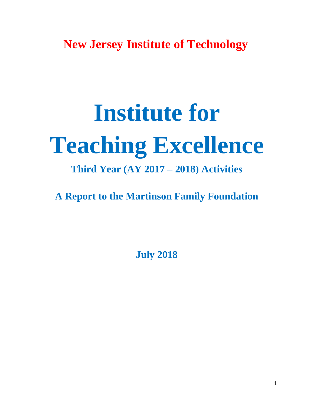**New Jersey Institute of Technology**

# **Institute for Teaching Excellence**

# **Third Year (AY 2017 – 2018) Activities**

**A Report to the Martinson Family Foundation**

**July 2018**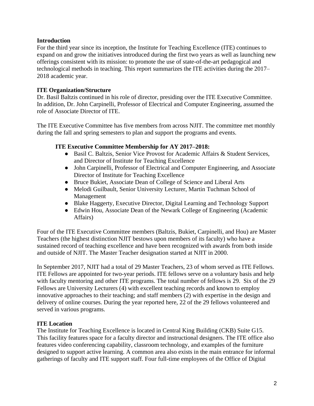#### **Introduction**

For the third year since its inception, the Institute for Teaching Excellence (ITE) continues to expand on and grow the initiatives introduced during the first two years as well as launching new offerings consistent with its mission: to promote the use of state-of-the-art pedagogical and technological methods in teaching. This report summarizes the ITE activities during the 2017– 2018 academic year.

#### **ITE Organization/Structure**

Dr. Basil Baltzis continued in his role of director, presiding over the ITE Executive Committee. In addition, Dr. John Carpinelli, Professor of Electrical and Computer Engineering, assumed the role of Associate Director of ITE.

The ITE Executive Committee has five members from across NJIT. The committee met monthly during the fall and spring semesters to plan and support the programs and events.

#### **ITE Executive Committee Membership for AY 2017–2018:**

- Basil C. Baltzis, Senior Vice Provost for Academic Affairs & Student Services, and Director of Institute for Teaching Excellence
- John Carpinelli, Professor of Electrical and Computer Engineering, and Associate Director of Institute for Teaching Excellence
- Bruce Bukiet, Associate Dean of College of Science and Liberal Arts
- Melodi Guilbault, Senior University Lecturer, Martin Tuchman School of Management
- Blake Haggerty, Executive Director, Digital Learning and Technology Support
- Edwin Hou, Associate Dean of the Newark College of Engineering (Academic Affairs)

Four of the ITE Executive Committee members (Baltzis, Bukiet, Carpinelli, and Hou) are Master Teachers (the highest distinction NJIT bestows upon members of its faculty) who have a sustained record of teaching excellence and have been recognized with awards from both inside and outside of NJIT. The Master Teacher designation started at NJIT in 2000.

In September 2017, NJIT had a total of 29 Master Teachers, 23 of whom served as ITE Fellows. ITE Fellows are appointed for two-year periods. ITE fellows serve on a voluntary basis and help with faculty mentoring and other ITE programs. The total number of fellows is 29. Six of the 29 Fellows are University Lecturers (4) with excellent teaching records and known to employ innovative approaches to their teaching; and staff members (2) with expertise in the design and delivery of online courses. During the year reported here, 22 of the 29 fellows volunteered and served in various programs.

#### **ITE Location**

The Institute for Teaching Excellence is located in Central King Building (CKB) Suite G15. This facility features space for a faculty director and instructional designers. The ITE office also features video conferencing capability, classroom technology, and examples of the furniture designed to support active learning. A common area also exists in the main entrance for informal gatherings of faculty and ITE support staff. Four full-time employees of the Office of Digital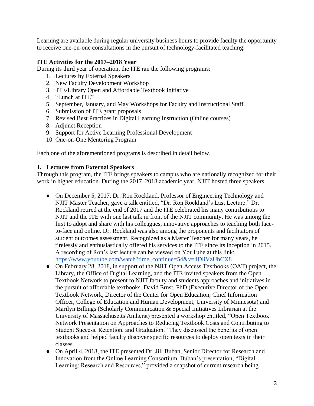Learning are available during regular university business hours to provide faculty the opportunity to receive one-on-one consultations in the pursuit of technology-facilitated teaching.

#### **ITE Activities for the 2017–2018 Year**

During its third year of operation, the ITE ran the following programs:

- 1. Lectures by External Speakers
- 2. New Faculty Development Workshop
- 3. ITE/Library Open and Affordable Textbook Initiative
- 4. "Lunch at ITE"
- 5. September, January, and May Workshops for Faculty and Instructional Staff
- 6. Submission of ITE grant proposals
- 7. Revised Best Practices in Digital Learning Instruction (Online courses)
- 8. Adjunct Reception
- 9. Support for Active Learning Professional Development
- 10. One-on-One Mentoring Program

Each one of the aforementioned programs is described in detail below.

#### **1. Lectures from External Speakers**

Through this program, the ITE brings speakers to campus who are nationally recognized for their work in higher education. During the 2017–2018 academic year, NJIT hosted three speakers.

- On December 5, 2017, Dr. Ron Rockland, Professor of Engineering Technology and NJIT Master Teacher, gave a talk entitled, "Dr. Ron Rockland's Last Lecture." Dr. Rockland retired at the end of 2017 and the ITE celebrated his many contributions to NJIT and the ITE with one last talk in front of the NJIT community. He was among the first to adopt and share with his colleagues, innovative approaches to teaching both faceto-face and online. Dr. Rockland was also among the proponents and facilitators of student outcomes assessment. Recognized as a Master Teacher for many years, he tirelessly and enthusiastically offered his services to the ITE since its inception in 2015. A recording of Ron's last lecture can be viewed on YouTube at this link: [https://www.youtube.com/watch?time\\_continue=54&v=4DliVzUbCX8](https://www.youtube.com/watch?time_continue=54&v=4DliVzUbCX8)
- On February 28, 2018, in support of the NJIT Open Access Textbooks (OAT) project, the Library, the Office of Digital Learning, and the ITE invited speakers from the Open Textbook Network to present to NJIT faculty and students approaches and initiatives in the pursuit of affordable textbooks. David Ernst, PhD (Executive Director of the Open Textbook Network, Director of the Center for Open Education, Chief Information Officer, College of Education and Human Development, University of Minnesota) and Marilyn Billings (Scholarly Communication & Special Initiatives Librarian at the University of Massachusetts Amherst) presented a workshop entitled, "Open Textbook Network Presentation on Approaches to Reducing Textbook Costs and Contributing to Student Success, Retention, and Graduation." They discussed the benefits of open textbooks and helped faculty discover specific resources to deploy open texts in their classes.
- On April 4, 2018, the ITE presented Dr. Jill Buban, Senior Director for Research and Innovation from the Online Learning Consortium. Buban's presentation, "Digital Learning: Research and Resources," provided a snapshot of current research being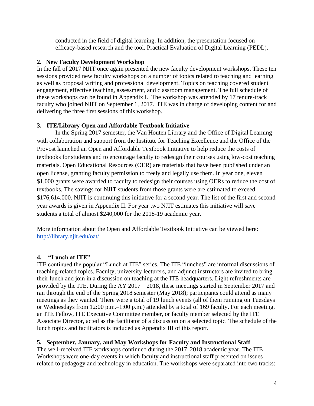conducted in the field of digital learning. In addition, the presentation focused on efficacy-based research and the tool, Practical Evaluation of Digital Learning (PEDL).

#### **2. New Faculty Development Workshop**

In the fall of 2017 NJIT once again presented the new faculty development workshops. These ten sessions provided new faculty workshops on a number of topics related to teaching and learning as well as proposal writing and professional development. Topics on teaching covered student engagement, effective teaching, assessment, and classroom management. The full schedule of these workshops can be found in Appendix I. The workshop was attended by 17 tenure-track faculty who joined NJIT on September 1, 2017. ITE was in charge of developing content for and delivering the three first sessions of this workshop.

#### **3. ITE/Library Open and Affordable Textbook Initiative**

In the Spring 2017 semester, the Van Houten Library and the Office of Digital Learning with collaboration and support from the Institute for Teaching Excellence and the Office of the Provost launched an Open and Affordable Textbook Initiative to help reduce the costs of textbooks for students and to encourage faculty to redesign their courses using low-cost teaching materials. Open Educational Resources (OER) are materials that have been published under an open license, granting faculty permission to freely and legally use them. In year one, eleven \$1,000 grants were awarded to faculty to redesign their courses using OERs to reduce the cost of textbooks. The savings for NJIT students from those grants were are estimated to exceed \$176,614,000. NJIT is continuing this initiative for a second year. The list of the first and second year awards is given in Appendix II. For year two NJIT estimates this initiative will save students a total of almost \$240,000 for the 2018-19 academic year.

More information about the Open and Affordable Textbook Initiative can be viewed here: <http://library.njit.edu/oat/>

#### **4. "Lunch at ITE"**

ITE continued the popular "Lunch at ITE" series. The ITE "lunches" are informal discussions of teaching-related topics. Faculty, university lecturers, and adjunct instructors are invited to bring their lunch and join in a discussion on teaching at the ITE headquarters. Light refreshments are provided by the ITE. During the AY 2017 – 2018, these meetings started in September 2017 and ran through the end of the Spring 2018 semester (May 2018); participants could attend as many meetings as they wanted. There were a total of 19 lunch events (all of them running on Tuesdays or Wednesdays from 12:00 p.m.–1:00 p.m.) attended by a total of 169 faculty. For each meeting, an ITE Fellow, ITE Executive Committee member, or faculty member selected by the ITE Associate Director, acted as the facilitator of a discussion on a selected topic. The schedule of the lunch topics and facilitators is included as Appendix III of this report.

#### **5. September, January, and May Workshops for Faculty and Instructional Staff**

The well-received ITE workshops continued during the 2017–2018 academic year. The ITE Workshops were one-day events in which faculty and instructional staff presented on issues related to pedagogy and technology in education. The workshops were separated into two tracks: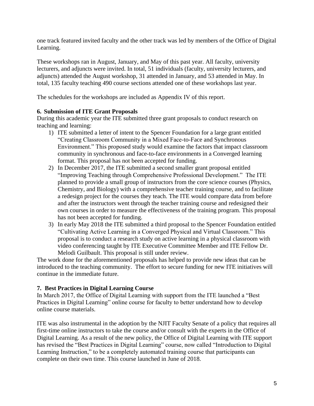one track featured invited faculty and the other track was led by members of the Office of Digital Learning.

These workshops ran in August, January, and May of this past year. All faculty, university lecturers, and adjuncts were invited. In total, 51 individuals (faculty, university lecturers, and adjuncts) attended the August workshop, 31 attended in January, and 53 attended in May. In total, 135 faculty teaching 490 course sections attended one of these workshops last year.

The schedules for the workshops are included as Appendix IV of this report.

#### **6. Submission of ITE Grant Proposals**

During this academic year the ITE submitted three grant proposals to conduct research on teaching and learning:

- 1) ITE submitted a letter of intent to the Spencer Foundation for a large grant entitled "Creating Classroom Community in a Mixed Face-to-Face and Synchronous Environment." This proposed study would examine the factors that impact classroom community in synchronous and face-to-face environments in a Converged learning format. This proposal has not been accepted for funding.
- 2) In December 2017, the ITE submitted a second smaller grant proposal entitled "Improving Teaching through Comprehensive Professional Development." The ITE planned to provide a small group of instructors from the core science courses (Physics, Chemistry, and Biology) with a comprehensive teacher training course, and to facilitate a redesign project for the courses they teach. The ITE would compare data from before and after the instructors went through the teacher training course and redesigned their own courses in order to measure the effectiveness of the training program. This proposal has not been accepted for funding.
- 3) In early May 2018 the ITE submitted a third proposal to the Spencer Foundation entitled "Cultivating Active Learning in a Converged Physical and Virtual Classroom." This proposal is to conduct a research study on active learning in a physical classroom with video conferencing taught by ITE Executive Committee Member and ITE Fellow Dr. Melodi Guilbault. This proposal is still under review.

The work done for the aforementioned proposals has helped to provide new ideas that can be introduced to the teaching community. The effort to secure funding for new ITE initiatives will continue in the immediate future.

#### **7. Best Practices in Digital Learning Course**

In March 2017, the Office of Digital Learning with support from the ITE launched a "Best Practices in Digital Learning" online course for faculty to better understand how to develop online course materials.

ITE was also instrumental in the adoption by the NJIT Faculty Senate of a policy that requires all first-time online instructors to take the course and/or consult with the experts in the Office of Digital Learning. As a result of the new policy, the Office of Digital Learning with ITE support has revised the "Best Practices in Digital Learning" course, now called "Introduction to Digital Learning Instruction," to be a completely automated training course that participants can complete on their own time. This course launched in June of 2018.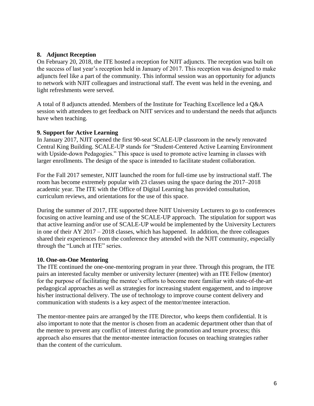#### **8. Adjunct Reception**

On February 20, 2018, the ITE hosted a reception for NJIT adjuncts. The reception was built on the success of last year's reception held in January of 2017. This reception was designed to make adjuncts feel like a part of the community. This informal session was an opportunity for adjuncts to network with NJIT colleagues and instructional staff. The event was held in the evening, and light refreshments were served.

A total of 8 adjuncts attended. Members of the Institute for Teaching Excellence led a Q&A session with attendees to get feedback on NJIT services and to understand the needs that adjuncts have when teaching.

#### **9. Support for Active Learning**

In January 2017, NJIT opened the first 90-seat SCALE-UP classroom in the newly renovated Central King Building. SCALE-UP stands for "Student-Centered Active Learning Environment with Upside-down Pedagogies." This space is used to promote active learning in classes with larger enrollments. The design of the space is intended to facilitate student collaboration.

For the Fall 2017 semester, NJIT launched the room for full-time use by instructional staff. The room has become extremely popular with 23 classes using the space during the 2017–2018 academic year. The ITE with the Office of Digital Learning has provided consultation, curriculum reviews, and orientations for the use of this space.

During the summer of 2017, ITE supported three NJIT University Lecturers to go to conferences focusing on active learning and use of the SCALE-UP approach. The stipulation for support was that active learning and/or use of SCALE-UP would be implemented by the University Lecturers in one of their AY 2017 – 2018 classes, which has happened. In addition, the three colleagues shared their experiences from the conference they attended with the NJIT community, especially through the "Lunch at ITE" series.

#### **10. One-on-One Mentoring**

The ITE continued the one-one-mentoring program in year three. Through this program, the ITE pairs an interested faculty member or university lecturer (mentee) with an ITE Fellow (mentor) for the purpose of facilitating the mentee's efforts to become more familiar with state-of-the-art pedagogical approaches as well as strategies for increasing student engagement, and to improve his/her instructional delivery. The use of technology to improve course content delivery and communication with students is a key aspect of the mentor/mentee interaction.

The mentor-mentee pairs are arranged by the ITE Director, who keeps them confidential. It is also important to note that the mentor is chosen from an academic department other than that of the mentee to prevent any conflict of interest during the promotion and tenure process; this approach also ensures that the mentor-mentee interaction focuses on teaching strategies rather than the content of the curriculum.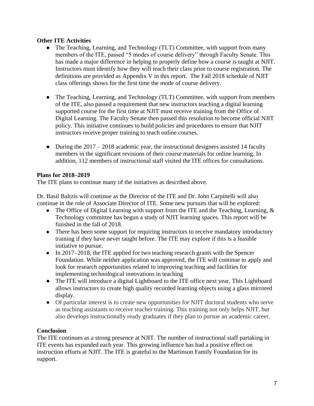#### **Other ITE Activities**

- The Teaching, Learning, and Technology (TLT) Committee, with support from many members of the ITE, passed "5 modes of course delivery" through Faculty Senate. This has made a major difference in helping to properly define how a course is taught at NJIT. Instructors must identify how they will teach their class prior to course registration. The definitions are provided as Appendix V in this report. The Fall 2018 schedule of NJIT class offerings shows for the first time the mode of course delivery.
- The Teaching, Learning, and Technology (TLT) Committee, with support from members of the ITE, also passed a requirement that new instructors teaching a digital learning supported course for the first time at NJIT must receive training from the Office of Digital Learning. The Faculty Senate then passed this resolution to become official NJIT policy. This initiative continues to build policies and procedures to ensure that NJIT instructors receive proper training to teach online courses.
- During the  $2017 2018$  academic year, the instructional designers assisted 14 faculty members in the significant revisions of their course materials for online learning. In addition, 112 members of instructional staff visited the ITE offices for consultations.

#### **Plans for 2018–2019**

The ITE plans to continue many of the initiatives as described above.

Dr. Basil Baltzis will continue as the Director of the ITE and Dr. John Carpinelli will also continue in the role of Associate Director of ITE. Some new pursuits that will be explored:

- The Office of Digital Learning with support from the ITE and the Teaching, Learning,  $\&$ Technology committee has begun a study of NJIT learning spaces. This report will be finished in the fall of 2018.
- There has been some support for requiring instructors to receive mandatory introductory training if they have never taught before. The ITE may explore if this is a feasible initiative to pursue.
- In 2017–2018, the ITE applied for two teaching research grants with the Spencer Foundation. While neither application was approved, the ITE will continue to apply and look for research opportunities related to improving teaching and facilities for implementing technological innovations in teaching
- The ITE will introduce a digital Lightboard to the ITE office next year. This Lightboard allows instructors to create high quality recorded learning objects using a glass mirrored display.
- Of particular interest is to create new opportunities for NJIT doctoral students who serve as teaching assistants to receive teacher training. This training not only helps NJIT, but also develops instructionally ready graduates if they plan to pursue an academic career.

#### **Conclusion**

The ITE continues as a strong presence at NJIT. The number of instructional staff partaking in ITE events has expanded each year. This growing influence has had a positive effect on instruction efforts at NJIT. The ITE is grateful to the Martinson Family Foundation for its support.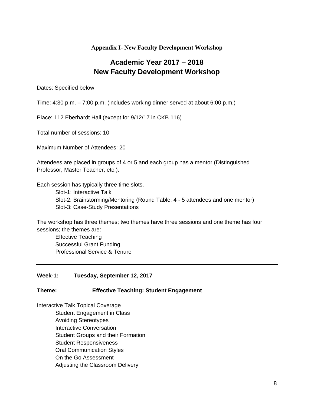#### **Appendix I- New Faculty Development Workshop**

# **Academic Year 2017 – 2018 New Faculty Development Workshop**

Dates: Specified below

Time: 4:30 p.m. – 7:00 p.m. (includes working dinner served at about 6:00 p.m.)

Place: 112 Eberhardt Hall (except for 9/12/17 in CKB 116)

Total number of sessions: 10

Maximum Number of Attendees: 20

Attendees are placed in groups of 4 or 5 and each group has a mentor (Distinguished Professor, Master Teacher, etc.).

Each session has typically three time slots.

Slot-1: Interactive Talk Slot-2: Brainstorming/Mentoring (Round Table: 4 - 5 attendees and one mentor) Slot-3: Case-Study Presentations

The workshop has three themes; two themes have three sessions and one theme has four sessions; the themes are:

Effective Teaching Successful Grant Funding Professional Service & Tenure

#### **Week-1: Tuesday, September 12, 2017**

#### **Theme: Effective Teaching: Student Engagement**

Interactive Talk Topical Coverage

Student Engagement in Class Avoiding Stereotypes Interactive Conversation Student Groups and their Formation Student Responsiveness Oral Communication Styles On the Go Assessment Adjusting the Classroom Delivery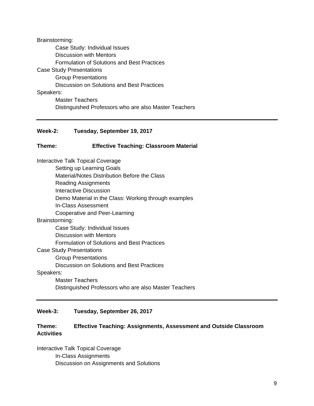Brainstorming: Case Study: Individual Issues Discussion with Mentors Formulation of Solutions and Best Practices Case Study Presentations Group Presentations Discussion on Solutions and Best Practices Speakers: Master Teachers Distinguished Professors who are also Master Teachers

#### **Week-2: Tuesday, September 19, 2017**

#### **Theme: Effective Teaching: Classroom Material**

Interactive Talk Topical Coverage Setting up Learning Goals Material/Notes Distribution Before the Class Reading Assignments Interactive Discussion Demo Material in the Class: Working through examples In-Class Assessment Cooperative and Peer-Learning Brainstorming: Case Study: Individual Issues Discussion with Mentors Formulation of Solutions and Best Practices Case Study Presentations Group Presentations Discussion on Solutions and Best Practices Speakers: Master Teachers Distinguished Professors who are also Master Teachers

#### **Week-3: Tuesday, September 26, 2017**

#### **Theme: Effective Teaching: Assignments, Assessment and Outside Classroom Activities**

Interactive Talk Topical Coverage In-Class Assignments Discussion on Assignments and Solutions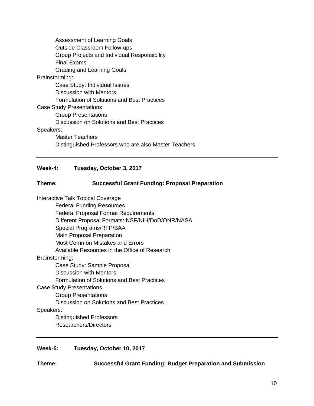| <b>Assessment of Learning Goals</b>                   |  |  |
|-------------------------------------------------------|--|--|
| <b>Outside Classroom Follow-ups</b>                   |  |  |
| Group Projects and Individual Responsibility          |  |  |
| Final Exams                                           |  |  |
| Grading and Learning Goals                            |  |  |
| Brainstorming:                                        |  |  |
| Case Study: Individual Issues                         |  |  |
| Discussion with Mentors                               |  |  |
| Formulation of Solutions and Best Practices           |  |  |
| <b>Case Study Presentations</b>                       |  |  |
| <b>Group Presentations</b>                            |  |  |
| Discussion on Solutions and Best Practices            |  |  |
| Speakers:                                             |  |  |
| Master Teachers                                       |  |  |
| Distinguished Professors who are also Master Teachers |  |  |
|                                                       |  |  |

#### **Week-4: Tuesday, October 3, 2017**

#### **Theme: Successful Grant Funding: Proposal Preparation**

Interactive Talk Topical Coverage

Federal Funding Resources Federal Proposal Format Requirements Different Proposal Formats: NSF/NIH/DoD/ONR/NASA Special Programs/RFP/BAA Main Proposal Preparation Most Common Mistakes and Errors Available Resources in the Office of Research Brainstorming: Case Study: Sample Proposal Discussion with Mentors Formulation of Solutions and Best Practices Case Study Presentations Group Presentations Discussion on Solutions and Best Practices Speakers: Distinguished Professors Researchers/Directors

**Week-5: Tuesday, October 10, 2017**

**Theme: Successful Grant Funding: Budget Preparation and Submission**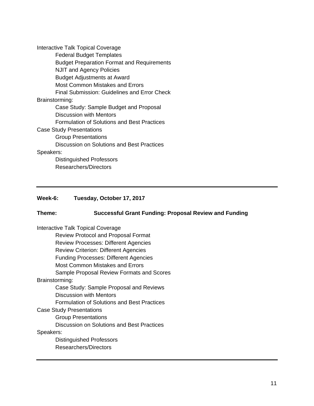Interactive Talk Topical Coverage Federal Budget Templates Budget Preparation Format and Requirements NJIT and Agency Policies Budget Adjustments at Award Most Common Mistakes and Errors Final Submission: Guidelines and Error Check Brainstorming: Case Study: Sample Budget and Proposal Discussion with Mentors Formulation of Solutions and Best Practices Case Study Presentations Group Presentations Discussion on Solutions and Best Practices Speakers: Distinguished Professors Researchers/Directors

#### **Week-6: Tuesday, October 17, 2017**

#### **Theme: Successful Grant Funding: Proposal Review and Funding**

Interactive Talk Topical Coverage Review Protocol and Proposal Format Review Processes: Different Agencies Review Criterion: Different Agencies Funding Processes: Different Agencies Most Common Mistakes and Errors Sample Proposal Review Formats and Scores Brainstorming: Case Study: Sample Proposal and Reviews Discussion with Mentors Formulation of Solutions and Best Practices Case Study Presentations Group Presentations Discussion on Solutions and Best Practices Speakers: Distinguished Professors Researchers/Directors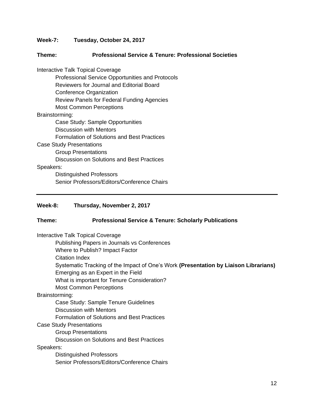**Week-7: Tuesday, October 24, 2017**

#### **Theme: Professional Service & Tenure: Professional Societies**

Interactive Talk Topical Coverage Professional Service Opportunities and Protocols Reviewers for Journal and Editorial Board Conference Organization Review Panels for Federal Funding Agencies Most Common Perceptions Brainstorming: Case Study: Sample Opportunities Discussion with Mentors Formulation of Solutions and Best Practices Case Study Presentations Group Presentations Discussion on Solutions and Best Practices Speakers: Distinguished Professors Senior Professors/Editors/Conference Chairs

#### **Week-8: Thursday, November 2, 2017**

#### **Theme: Professional Service & Tenure: Scholarly Publications**

Interactive Talk Topical Coverage

Publishing Papers in Journals vs Conferences

Where to Publish? Impact Factor

Citation Index

Systematic Tracking of the Impact of One's Work **(Presentation by Liaison Librarians)** Emerging as an Expert in the Field

What is important for Tenure Consideration?

Most Common Perceptions

#### Brainstorming:

Case Study: Sample Tenure Guidelines

Discussion with Mentors

Formulation of Solutions and Best Practices

Case Study Presentations

Group Presentations

Discussion on Solutions and Best Practices

Speakers:

Distinguished Professors Senior Professors/Editors/Conference Chairs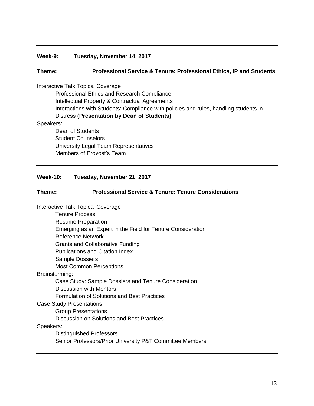#### **Week-9: Tuesday, November 14, 2017**

#### **Theme: Professional Service & Tenure: Professional Ethics, IP and Students**

#### Interactive Talk Topical Coverage

Professional Ethics and Research Compliance Intellectual Property & Contractual Agreements Interactions with Students: Compliance with policies and rules, handling students in Distress **(Presentation by Dean of Students)**

#### Speakers:

Dean of Students Student Counselors University Legal Team Representatives Members of Provost's Team

#### **Week-10: Tuesday, November 21, 2017**

#### **Theme: Professional Service & Tenure: Tenure Considerations**

Interactive Talk Topical Coverage

Tenure Process Resume Preparation Emerging as an Expert in the Field for Tenure Consideration Reference Network Grants and Collaborative Funding Publications and Citation Index Sample Dossiers Most Common Perceptions Brainstorming: Case Study: Sample Dossiers and Tenure Consideration Discussion with Mentors Formulation of Solutions and Best Practices Case Study Presentations Group Presentations Discussion on Solutions and Best Practices Speakers: Distinguished Professors

Senior Professors/Prior University P&T Committee Members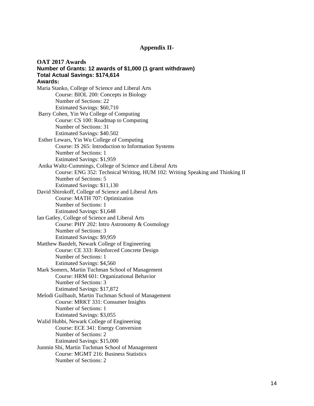#### **Appendix II-**

**OAT 2017 Awards Number of Grants: 12 awards of \$1,000 (1 grant withdrawn) Total Actual Savings: \$174,614 Awards:** Maria Stanko, College of Science and Liberal Arts Course: BIOL 200: Concepts in Biology Number of Sections: 22 Estimated Savings: \$60,710 Barry Cohen, Yin Wu College of Computing Course: CS 100: Roadmap to Computing Number of Sections: 31 Estimated Savings: \$40.502 Esther Lewars, Yin Wu College of Computing Course: IS 265: Introduction to Information Systems Number of Sections: 1 Estimated Savings: \$1,959 Anika Waltz-Cummings, College of Science and Liberal Arts Course: ENG 352: Technical Writing, HUM 102: Writing Speaking and Thinking II Number of Sections: 5 Estimated Savings: \$11,130 David Shirokoff, College of Science and Liberal Arts Course: MATH 707: Optimization Number of Sections: 1 Estimated Savings: \$1,648 Ian Gatley, College of Science and Liberal Arts Course: PHY 202: Intro Astronomy & Cosmology Number of Sections: 3 Estimated Savings: \$9,959 Matthew Bandelt, Newark College of Engineering Course: CE 333: Reinforced Concrete Design Number of Sections: 1 Estimated Savings: \$4,560 Mark Somers, Martin Tuchman School of Management Course: HRM 601: Organizational Behavior Number of Sections: 3 Estimated Savings: \$17,872 Melodi Guilbault, Martin Tuchman School of Management Course: MRKT 331: Consumer Insights Number of Sections: 1 Estimated Savings: \$3,055 Walid Hubbi, Newark College of Engineering Course: ECE 341: Energy Conversion Number of Sections: 2 Estimated Savings: \$15,000 Junmin Shi, Martin Tuchman School of Management Course: MGMT 216: Business Statistics Number of Sections: 2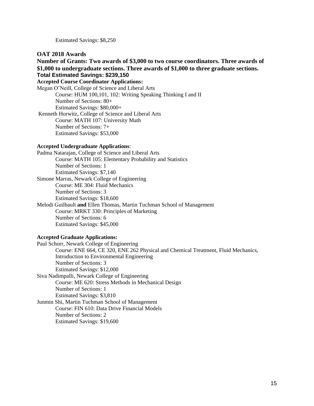Estimated Savings: \$8,250

#### **OAT 2018 Awards**

**Number of Grants: Two awards of \$3,000 to two course coordinators. Three awards of \$1,000 to undergraduate sections. Three awards of \$1,000 to three graduate sections. Total Estimated Savings: \$239,150 Accepted Course Coordinator Applications:** Megan O'Neill, College of Science and Liberal Arts Course: HUM 100,101, 102: Writing Speaking Thinking I and II Number of Sections: 80+ Estimated Savings: \$80,000+ Kenneth Horwitz, College of Science and Liberal Arts Course: MATH 107: University Math Number of Sections: 7+

#### **Accepted Undergraduate Applications**:

Estimated Savings: \$53,000

Padma Natarajan, College of Science and Liberal Arts Course: MATH 105: Elementary Probability and Statistics Number of Sections: 1 Estimated Savings: \$7,140 Simone Marras, Newark College of Engineering Course: ME 304: Fluid Mechanics Number of Sections: 3 Estimated Savings: \$18,600 Melodi Guilbault **and** Ellen Thomas, Martin Tuchman School of Management Course: MRKT 330: Principles of Marketing Number of Sections: 6 Estimated Savings: \$45,000

# **Accepted Graduate Applications:**

Paul Schorr, Newark College of Engineering Course: ENE 664, CE 320, ENE 262 Physical and Chemical Treatment, Fluid Mechanics, Introduction to Environmental Engineering Number of Sections: 3 Estimated Savings: \$12,000 Siva Nadimpalli, Newark College of Engineering Course: ME 620: Stress Methods in Mechanical Design Number of Sections: 1 Estimated Savings: \$3,810 Junmin Shi, Martin Tuchman School of Management Course: FIN 610: Data Drive Financial Models Number of Sections: 2 Estimated Savings: \$19,600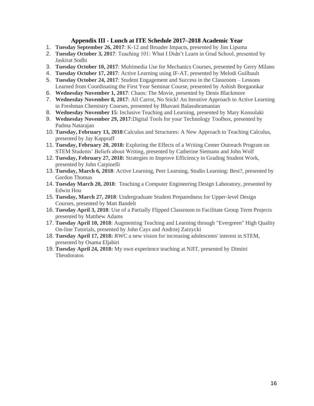#### **Appendix III - Lunch at ITE Schedule 2017–2018 Academic Year**

- 1. **Tuesday September 26, 2017**: K-12 and Broader Impacts, presented by Jim Lipuma
- 2. **Tuesday October 3, 2017**: Teaching 101: What I Didn't Learn in Grad School, presented by Jaskirat Sodhi
- 3. **Tuesday October 10, 2017**: Multimedia Use for Mechanics Courses, presented by Gerry Milano
- 4. **Tuesday October 17, 2017**: Active Learning using IF-AT, presented by Melodi Guilbault
- 5. **Tuesday October 24, 2017**: Student Engagement and Success in the Classroom Lessons Learned from Coordinating the First Year Seminar Course, presented by Ashish Borgaonkar
- 6. **Wednesday November 1, 2017**: Chaos: The Movie, presented by Denis Blackmore
- 7. **Wednesday November 8, 2017**: All Carrot, No Stick! An Iterative Approach to Active Learning in Freshman Chemistry Courses, presented by Bhavani Balasubramanian
- 8. **Wednesday November 15**: Inclusive Teaching and Learning, presented by Mary Konsolaki
- 9. **Wednesday November 29, 2017**:Digital Tools for your Technology Toolbox, presented by Padma Natarajan
- 10. **Tuesday, February 13, 2018**:Calculus and Structures: A New Approach to Teaching Calculus, presented by Jay Kappraff
- 11. **Tuesday, February 20, 2018:** Exploring the Effects of a Writing Center Outreach Program on STEM Students' Beliefs about Writing, presented by Catherine Siemann and John Wolf
- 12. **Tuesday, February 27, 2018:** Strategies to Improve Efficiency in Grading Student Work, presented by John Carpinelli
- 13. **Tuesday, March 6, 2018**: Active Learning, Peer Learning, Studio Learning: Best?, presented by Gordon Thomas
- 14. **Tuesday March 20, 2018**: Teaching a Computer Engineering Design Laboratory, presented by Edwin Hou
- 15. **Tuesday, March 27, 2018**: Undergraduate Student Preparedness for Upper-level Design Courses, presented by Matt Bandelt
- 16. **Tuesday April 3, 2018**: Use of a Partially Flipped Classroom to Facilitate Group Term Projects presented by Matthew Adams
- 17. **Tuesday April 10, 2018**: Augmenting Teaching and Learning through "Evergreen" High Quality On-line Tutorials, presented by John Cays and Andrzej Zarzycki
- 18. **Tuesday April 17, 2018:** RWC a new vision for increasing adolescents' interest in STEM, presented by Osama Eljabiri
- 19. **Tuesday April 24, 2018:** My own experience teaching at NJIT, presented by Dimitri **Theodoratos**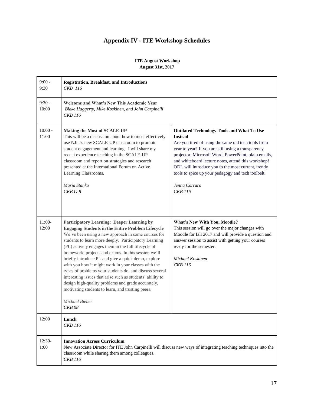### **Appendix IV - ITE Workshop Schedules**

#### **ITE August Workshop August 31st, 2017**

| $9:00 -$<br>9:30   | <b>Registration, Breakfast, and Introductions</b><br>CKB 116                                                                                                                                                                                                                                                                                                                                                                                                                                                                                                                                                                                                                                                       |                                                                                                                                                                                                                                                                                                                                                                                                                                                |
|--------------------|--------------------------------------------------------------------------------------------------------------------------------------------------------------------------------------------------------------------------------------------------------------------------------------------------------------------------------------------------------------------------------------------------------------------------------------------------------------------------------------------------------------------------------------------------------------------------------------------------------------------------------------------------------------------------------------------------------------------|------------------------------------------------------------------------------------------------------------------------------------------------------------------------------------------------------------------------------------------------------------------------------------------------------------------------------------------------------------------------------------------------------------------------------------------------|
| $9:30 -$<br>10:00  | Welcome and What's New This Academic Year<br>Blake Haggerty, Mike Koskinen, and John Carpinelli<br><b>CKB</b> 116                                                                                                                                                                                                                                                                                                                                                                                                                                                                                                                                                                                                  |                                                                                                                                                                                                                                                                                                                                                                                                                                                |
| $10:00 -$<br>11:00 | <b>Making the Most of SCALE-UP</b><br>This will be a discussion about how to most effectively<br>use NJIT's new SCALE-UP classroom to promote<br>student engagement and learning. I will share my<br>recent experience teaching in the SCALE-UP<br>classroom and report on strategies and research<br>presented at the International Forum on Active<br>Learning Classrooms.<br>Maria Stanko<br>$CKB G-8$                                                                                                                                                                                                                                                                                                          | <b>Outdated Technology Tools and What To Use</b><br><b>Instead</b><br>Are you tired of using the same old tech tools from<br>year to year? If you are still using a transparency<br>projector, Microsoft Word, PowerPoint, plain emails,<br>and whiteboard lecture notes, attend this workshop!<br>ODL will introduce you to the most current, trendy<br>tools to spice up your pedagogy and tech toolbelt.<br>Jenna Corraro<br><b>CKB</b> 116 |
| $11:00-$<br>12:00  | Participatory Learning: Deeper Learning by<br><b>Engaging Students in the Entire Problem Lifecycle</b><br>We've been using a new approach in some courses for<br>students to learn more deeply. Participatory Learning<br>(PL) actively engages them in the full lifecycle of<br>homework, projects and exams. In this session we'll<br>briefly introduce PL and give a quick demo, explore<br>with you how it might work in your classes with the<br>types of problems your students do, and discuss several<br>interesting issues that arise such as students' ability to<br>design high-quality problems and grade accurately,<br>motivating students to learn, and trusting peers.<br>Michael Bieber<br>CKB 08 | <b>What's New With You, Moodle?</b><br>This session will go over the major changes with<br>Moodle for fall 2017 and will provide a question and<br>answer session to assist with getting your courses<br>ready for the semester.<br>Michael Koskinen<br>CKB 116                                                                                                                                                                                |
| 12:00              | Lunch<br><b>CKB</b> 116                                                                                                                                                                                                                                                                                                                                                                                                                                                                                                                                                                                                                                                                                            |                                                                                                                                                                                                                                                                                                                                                                                                                                                |
| 12:30-<br>1:00     | <b>Innovation Across Curriculum</b><br>New Associate Director for ITE John Carpinelli will discuss new ways of integrating teaching techniques into the<br>classroom while sharing them among colleagues.<br><b>CKB</b> 116                                                                                                                                                                                                                                                                                                                                                                                                                                                                                        |                                                                                                                                                                                                                                                                                                                                                                                                                                                |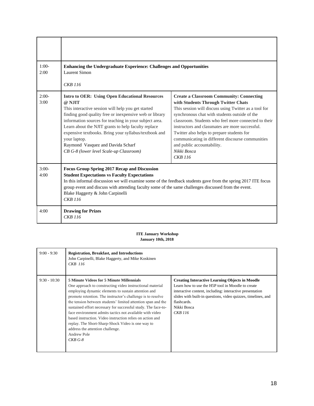| $1:00-$<br><b>Enhancing the Undergraduate Experience: Challenges and Opportunities</b><br>Laurent Simon<br>2:00 |                                                                                                                                                                                                                                                                                                                                                                                                                                                             |                                                                                                                                                                                                                                                                                                                                                                                                                                                                              |  |
|-----------------------------------------------------------------------------------------------------------------|-------------------------------------------------------------------------------------------------------------------------------------------------------------------------------------------------------------------------------------------------------------------------------------------------------------------------------------------------------------------------------------------------------------------------------------------------------------|------------------------------------------------------------------------------------------------------------------------------------------------------------------------------------------------------------------------------------------------------------------------------------------------------------------------------------------------------------------------------------------------------------------------------------------------------------------------------|--|
|                                                                                                                 | CKB 116                                                                                                                                                                                                                                                                                                                                                                                                                                                     |                                                                                                                                                                                                                                                                                                                                                                                                                                                                              |  |
| $2:00-$<br>3:00                                                                                                 | <b>Intro to OER: Using Open Educational Resources</b><br>@ N.IIT<br>This interactive session will help you get started<br>finding good quality free or inexpensive web or library<br>information sources for teaching in your subject area.<br>Learn about the NJIT grants to help faculty replace<br>expensive textbooks. Bring your syllabus/textbook and<br>your laptop.<br>Raymond Vasquez and Davida Scharf<br>CB G-8 (lower level Scale-up Classroom) | <b>Create a Classroom Community: Connecting</b><br>with Students Through Twitter Chats<br>This session will discuss using Twitter as a tool for<br>synchronous chat with students outside of the<br>classroom. Students who feel more connected to their<br>instructors and classmates are more successful.<br>Twitter also helps to prepare students for<br>communicating in different discourse communities<br>and public accountability.<br>Nikki Bosca<br><b>CKB</b> 116 |  |
| $3:00-$<br>4:00                                                                                                 | <b>Focus Group Spring 2017 Recap and Discussion</b><br><b>Student Expectations vs Faculty Expectations</b><br>In this informal discussion we will examine some of the feedback students gave from the spring 2017 ITE focus<br>group event and discuss with attending faculty some of the same challenges discussed from the event.<br>Blake Haggerty & John Carpinelli<br><b>CKB</b> 116                                                                   |                                                                                                                                                                                                                                                                                                                                                                                                                                                                              |  |
| 4:00                                                                                                            | <b>Drawing for Prizes</b><br><b>CKB</b> 116                                                                                                                                                                                                                                                                                                                                                                                                                 |                                                                                                                                                                                                                                                                                                                                                                                                                                                                              |  |

#### **ITE January Workshop January 10th, 2018**

| $9:00 - 9:30$  | <b>Registration, Breakfast, and Introductions</b><br>John Carpinelli, Blake Haggerty, and Mike Koskinen<br>CKB 116                                                                                                                                                                                                                                                                                                                                                                                                                                                                                                |                                                                                                                                                                                                                                                                                   |
|----------------|-------------------------------------------------------------------------------------------------------------------------------------------------------------------------------------------------------------------------------------------------------------------------------------------------------------------------------------------------------------------------------------------------------------------------------------------------------------------------------------------------------------------------------------------------------------------------------------------------------------------|-----------------------------------------------------------------------------------------------------------------------------------------------------------------------------------------------------------------------------------------------------------------------------------|
| $9:30 - 10:30$ | <b>5 Minute Videos for 5 Minute Millennials</b><br>One approach to constructing video instructional material<br>employing dynamic elements to sustain attention and<br>promote retention. The instructor's challenge is to resolve<br>the tension between students' limited attention span and the<br>sustained effort necessary for successful study. The face-to-<br>face environment admits tactics not available with video<br>based instruction. Video instruction relies on action and<br>replay. The Short-Sharp-Shock Video is one way to<br>address the attention challenge.<br>Andrew Pole<br>$CKB G-8$ | <b>Creating Interactive Learning Objects in Moodle</b><br>Learn how to use the H5P tool in Moodle to create<br>interactive content, including: interactive presentation<br>slides with built-in questions, video quizzes, timelines, and<br>flashcards.<br>Nikki Bosca<br>CKB 116 |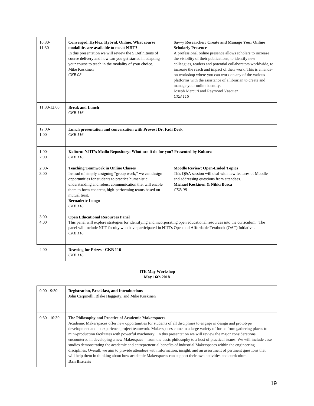| $10:30-$<br>11:30 | Converged, HyFlex, Hybrid, Online. What course<br>modalities are available to me at NJIT?<br>In this presentation we will review the 5 Definitions of<br>course delivery and how can you get started in adapting<br>your course to teach in the modality of your choice.<br>Mike Koskinen<br><b>CKB08</b>                                    | <b>Savvy Researcher: Create and Manage Your Online</b><br><b>Scholarly Presence</b><br>A professional online presence allows scholars to increase<br>the visibility of their publications, to identify new<br>colleagues, readers and potential collaborators worldwide, to<br>increase the reach and impact of their work. This is a hands-<br>on workshop where you can work on any of the various<br>platforms with the assistance of a librarian to create and<br>manage your online identity.<br>Joseph Mercuri and Raymond Vasquez<br><b>CKB</b> 116 |
|-------------------|----------------------------------------------------------------------------------------------------------------------------------------------------------------------------------------------------------------------------------------------------------------------------------------------------------------------------------------------|------------------------------------------------------------------------------------------------------------------------------------------------------------------------------------------------------------------------------------------------------------------------------------------------------------------------------------------------------------------------------------------------------------------------------------------------------------------------------------------------------------------------------------------------------------|
| 11:30-12:00       | <b>Break and Lunch</b><br>CKB 116                                                                                                                                                                                                                                                                                                            |                                                                                                                                                                                                                                                                                                                                                                                                                                                                                                                                                            |
| $12:00-$<br>1:00  | Lunch presentation and conversation with Provost Dr. Fadi Deek<br><b>CKB</b> 116                                                                                                                                                                                                                                                             |                                                                                                                                                                                                                                                                                                                                                                                                                                                                                                                                                            |
| $1:00-$<br>2:00   | Kaltura: NJIT's Media Repository: What can it do for you? Presented by Kaltura<br>CKB 116                                                                                                                                                                                                                                                    |                                                                                                                                                                                                                                                                                                                                                                                                                                                                                                                                                            |
| $2:00-$<br>3:00   | <b>Teaching Teamwork in Online Classes</b><br>Instead of simply assigning "group work," we can design<br>opportunities for students to practice humanistic<br>understanding and robust communication that will enable<br>them to form coherent, high-performing teams based on<br>mutual trust.<br><b>Bernadette Longo</b><br><b>CKB</b> 116 | <b>Moodle Review: Open-Ended Topics</b><br>This Q&A session will deal with new features of Moodle<br>and addressing questions from attendees.<br>Michael Koskinen & Nikki Bosca<br><b>CKB08</b>                                                                                                                                                                                                                                                                                                                                                            |
| $3:00-$<br>4:00   | <b>Open Educational Resources Panel</b><br>This panel will explore strategies for identifying and incorporating open educational resources into the curriculum. The<br>panel will include NJIT faculty who have participated in NJIT's Open and Affordable Textbook (OAT) Initiative.<br>CKB 116                                             |                                                                                                                                                                                                                                                                                                                                                                                                                                                                                                                                                            |
| 4:00              | <b>Drawing for Prizes - CKB 116</b><br>CKB 116                                                                                                                                                                                                                                                                                               |                                                                                                                                                                                                                                                                                                                                                                                                                                                                                                                                                            |

#### **ITE May Workshop May 16th 2018**

| $9:00 - 9:30$  | <b>Registration, Breakfast, and Introductions</b><br>John Carpinelli, Blake Haggerty, and Mike Koskinen                                                                                                                                                                                                                                                                                                                                                                                                                                                                                                                                                                                                                                                                                                                                                                                                                                  |
|----------------|------------------------------------------------------------------------------------------------------------------------------------------------------------------------------------------------------------------------------------------------------------------------------------------------------------------------------------------------------------------------------------------------------------------------------------------------------------------------------------------------------------------------------------------------------------------------------------------------------------------------------------------------------------------------------------------------------------------------------------------------------------------------------------------------------------------------------------------------------------------------------------------------------------------------------------------|
| $9:30 - 10:30$ | The Philosophy and Practice of Academic Makerspaces<br>Academic Makerspaces offer new opportunities for students of all disciplines to engage in design and prototype<br>development and to experience project teamwork. Makerspaces come in a large variety of forms from gathering places to<br>mini-production facilitates with powerful machinery. In this presentation we will review the major considerations<br>encountered in developing a new Makerspace – from the basic philosophy to a host of practical issues. We will include case<br>studies demonstrating the academic and entrepreneurial benefits of industrial Makerspaces within the engineering<br>disciplines. Overall, we aim to provide attendees with information, insight, and an assortment of pertinent questions that<br>will help them in thinking about how academic Makerspaces can support their own activities and curriculum.<br><b>Dan Brateris</b> |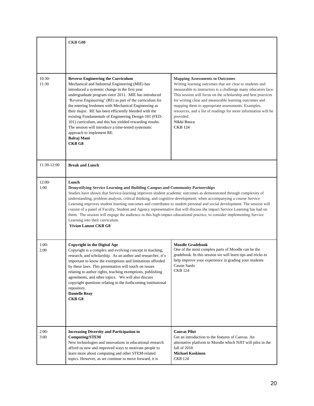|                   | CKB G08                                                                                                                                                                                                                                                                                                                                                                                                                                                                                                                                                                                                                                                                                                                                                                             |                                                                                                                                                                                                                                                                                                                                                                                                                                                                      |
|-------------------|-------------------------------------------------------------------------------------------------------------------------------------------------------------------------------------------------------------------------------------------------------------------------------------------------------------------------------------------------------------------------------------------------------------------------------------------------------------------------------------------------------------------------------------------------------------------------------------------------------------------------------------------------------------------------------------------------------------------------------------------------------------------------------------|----------------------------------------------------------------------------------------------------------------------------------------------------------------------------------------------------------------------------------------------------------------------------------------------------------------------------------------------------------------------------------------------------------------------------------------------------------------------|
|                   |                                                                                                                                                                                                                                                                                                                                                                                                                                                                                                                                                                                                                                                                                                                                                                                     |                                                                                                                                                                                                                                                                                                                                                                                                                                                                      |
| $10:30-$<br>11:30 | <b>Reverse Engineering the Curriculum</b><br>Mechanical and Industrial Engineering (MIE) has<br>introduced a systemic change in the first year<br>undergraduate program since 2011. MIE has introduced<br>'Reverse Engineering' (RE) as part of the curriculum for<br>the entering freshmen with Mechanical Engineering as<br>their major. RE has been efficiently blended with the<br>existing Fundamentals of Engineering Design-101 (FED-<br>101) curriculum, and this has yielded rewarding results.<br>The session will introduce a time-tested systematic<br>approach to implement RE.<br><b>Balraj Mani</b><br>CKB <sub>G8</sub>                                                                                                                                             | <b>Mapping Assessments to Outcomes</b><br>Writing learning outcomes that are clear to students and<br>measurable to instructors is a challenge many educators face.<br>This session will focus on the scholarship and best practices<br>for writing clear and measurable learning outcomes and<br>mapping them to appropriate assessments. Examples,<br>resources, and a list of readings for more information will be<br>provided.<br>Nikki Bosca<br><b>CKB 124</b> |
| 11:30-12:00       | <b>Break and Lunch</b>                                                                                                                                                                                                                                                                                                                                                                                                                                                                                                                                                                                                                                                                                                                                                              |                                                                                                                                                                                                                                                                                                                                                                                                                                                                      |
| $12:00-$<br>1:00  | Lunch<br>Demystifying Service Learning and Building Campus and Community Partnerships<br>Studies have shown that Service-learning improves student academic outcomes as demonstrated through complexity of<br>understanding, problem analysis, critical thinking, and cognitive development; when accompanying a course Service<br>Learning improves student learning outcomes and contributes to student personal and social development. The session will<br>consist of a panel of Faculty, Student and Agency representative that will discuss the impact Service Learning has had on<br>them. The session will engage the audience in this high-impact educational practice, to consider implementing Service<br>Learning into their curriculum.<br><b>Vivian Lanzot CKB G8</b> |                                                                                                                                                                                                                                                                                                                                                                                                                                                                      |
| $1:00-$<br>2:00   | <b>Copyright in the Digital Age</b><br>Copyright is a complex and evolving concept in teaching,<br>research, and scholarship. As an author and researcher, it's<br>important to know the exemptions and limitations afforded<br>by these laws. This presentation will touch on issues<br>relating to author rights, teaching exemptions, publishing<br>agreements, and other topics. We will also discuss<br>copyright questions relating to the forthcoming institutional<br>repository.<br><b>Danielle Reay</b><br>CKB <sub>G8</sub>                                                                                                                                                                                                                                              | <b>Moodle Gradebook</b><br>One of the most complex parts of Moodle can be the<br>gradebook. In this session we will learn tips and tricks to<br>help improve your experience in grading your students<br>Cassie Sardo<br><b>CKB 124</b>                                                                                                                                                                                                                              |
| $2:00-$<br>3:00   | <b>Increasing Diversity and Participation in</b><br><b>Computing/STEM</b><br>New technologies and innovations in educational research<br>afford us new and improved ways to motivate people to<br>learn more about computing and other STEM-related<br>topics. However, as we continue to move forward, it is                                                                                                                                                                                                                                                                                                                                                                                                                                                                       | <b>Canvas Pilot</b><br>Get an introduction to the features of Canvas. An<br>alternative platform to Moodle which NJIT will pilot in the<br>fall of 2018.<br><b>Michael Koskinen</b><br><b>CKB</b> 124                                                                                                                                                                                                                                                                |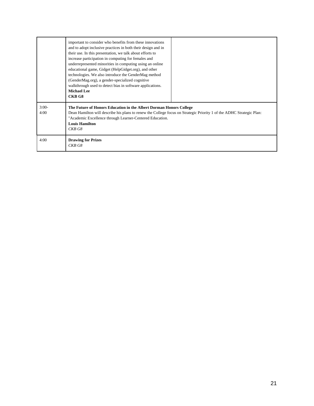|                 | important to consider who benefits from these innovations<br>and to adopt inclusive practices in both their design and in<br>their use. In this presentation, we talk about efforts to<br>increase participation in computing for females and<br>underrepresented minorities in computing using an online<br>educational game, Gidget (HelpGidget.org), and other<br>technologies. We also introduce the GenderMag method<br>(GenderMag.org), a gender-specialized cognitive<br>walkthrough used to detect bias in software applications.<br><b>Michael Lee</b><br>CKB <sub>G8</sub> |  |
|-----------------|--------------------------------------------------------------------------------------------------------------------------------------------------------------------------------------------------------------------------------------------------------------------------------------------------------------------------------------------------------------------------------------------------------------------------------------------------------------------------------------------------------------------------------------------------------------------------------------|--|
| $3:00-$<br>4:00 | The Future of Honors Education in the Albert Dorman Honors College<br>Dean Hamilton will describe his plans to renew the College focus on Strategic Priority 1 of the ADHC Strategic Plan:<br>"Academic Excellence through Learner-Centered Education.<br><b>Louis Hamilton</b><br>CKB G8                                                                                                                                                                                                                                                                                            |  |
| 4:00            | <b>Drawing for Prizes</b><br>CKB G8                                                                                                                                                                                                                                                                                                                                                                                                                                                                                                                                                  |  |